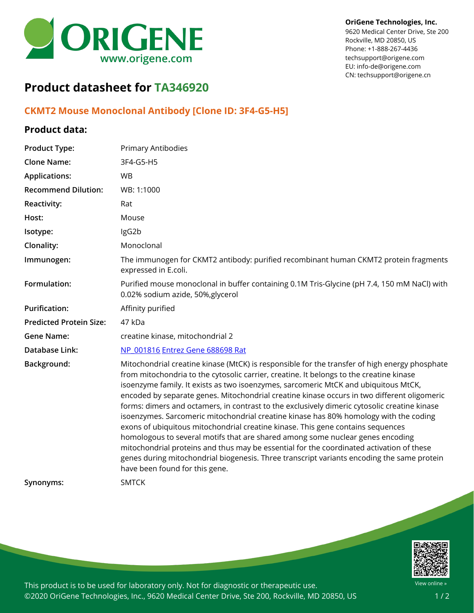

#### **OriGene Technologies, Inc.**

9620 Medical Center Drive, Ste 200 Rockville, MD 20850, US Phone: +1-888-267-4436 techsupport@origene.com EU: info-de@origene.com CN: techsupport@origene.cn

# **Product datasheet for TA346920**

## **CKMT2 Mouse Monoclonal Antibody [Clone ID: 3F4-G5-H5]**

#### **Product data:**

| <b>Product Type:</b>           | Primary Antibodies                                                                                                                                                                                                                                                                                                                                                                                                                                                                                                                                                                                                                                                                                                                                                                                                                                                                                                                                                       |
|--------------------------------|--------------------------------------------------------------------------------------------------------------------------------------------------------------------------------------------------------------------------------------------------------------------------------------------------------------------------------------------------------------------------------------------------------------------------------------------------------------------------------------------------------------------------------------------------------------------------------------------------------------------------------------------------------------------------------------------------------------------------------------------------------------------------------------------------------------------------------------------------------------------------------------------------------------------------------------------------------------------------|
| <b>Clone Name:</b>             | 3F4-G5-H5                                                                                                                                                                                                                                                                                                                                                                                                                                                                                                                                                                                                                                                                                                                                                                                                                                                                                                                                                                |
| <b>Applications:</b>           | <b>WB</b>                                                                                                                                                                                                                                                                                                                                                                                                                                                                                                                                                                                                                                                                                                                                                                                                                                                                                                                                                                |
| <b>Recommend Dilution:</b>     | WB: 1:1000                                                                                                                                                                                                                                                                                                                                                                                                                                                                                                                                                                                                                                                                                                                                                                                                                                                                                                                                                               |
| Reactivity:                    | Rat                                                                                                                                                                                                                                                                                                                                                                                                                                                                                                                                                                                                                                                                                                                                                                                                                                                                                                                                                                      |
| Host:                          | Mouse                                                                                                                                                                                                                                                                                                                                                                                                                                                                                                                                                                                                                                                                                                                                                                                                                                                                                                                                                                    |
| Isotype:                       | IgG2b                                                                                                                                                                                                                                                                                                                                                                                                                                                                                                                                                                                                                                                                                                                                                                                                                                                                                                                                                                    |
| Clonality:                     | Monoclonal                                                                                                                                                                                                                                                                                                                                                                                                                                                                                                                                                                                                                                                                                                                                                                                                                                                                                                                                                               |
| Immunogen:                     | The immunogen for CKMT2 antibody: purified recombinant human CKMT2 protein fragments<br>expressed in E.coli.                                                                                                                                                                                                                                                                                                                                                                                                                                                                                                                                                                                                                                                                                                                                                                                                                                                             |
| Formulation:                   | Purified mouse monoclonal in buffer containing 0.1M Tris-Glycine (pH 7.4, 150 mM NaCl) with<br>0.02% sodium azide, 50%, glycerol                                                                                                                                                                                                                                                                                                                                                                                                                                                                                                                                                                                                                                                                                                                                                                                                                                         |
| <b>Purification:</b>           | Affinity purified                                                                                                                                                                                                                                                                                                                                                                                                                                                                                                                                                                                                                                                                                                                                                                                                                                                                                                                                                        |
| <b>Predicted Protein Size:</b> | 47 kDa                                                                                                                                                                                                                                                                                                                                                                                                                                                                                                                                                                                                                                                                                                                                                                                                                                                                                                                                                                   |
| <b>Gene Name:</b>              | creatine kinase, mitochondrial 2                                                                                                                                                                                                                                                                                                                                                                                                                                                                                                                                                                                                                                                                                                                                                                                                                                                                                                                                         |
| Database Link:                 | NP 001816 Entrez Gene 688698 Rat                                                                                                                                                                                                                                                                                                                                                                                                                                                                                                                                                                                                                                                                                                                                                                                                                                                                                                                                         |
| Background:                    | Mitochondrial creatine kinase (MtCK) is responsible for the transfer of high energy phosphate<br>from mitochondria to the cytosolic carrier, creatine. It belongs to the creatine kinase<br>isoenzyme family. It exists as two isoenzymes, sarcomeric MtCK and ubiquitous MtCK,<br>encoded by separate genes. Mitochondrial creatine kinase occurs in two different oligomeric<br>forms: dimers and octamers, in contrast to the exclusively dimeric cytosolic creatine kinase<br>isoenzymes. Sarcomeric mitochondrial creatine kinase has 80% homology with the coding<br>exons of ubiquitous mitochondrial creatine kinase. This gene contains sequences<br>homologous to several motifs that are shared among some nuclear genes encoding<br>mitochondrial proteins and thus may be essential for the coordinated activation of these<br>genes during mitochondrial biogenesis. Three transcript variants encoding the same protein<br>have been found for this gene. |
| Synonyms:                      | <b>SMTCK</b>                                                                                                                                                                                                                                                                                                                                                                                                                                                                                                                                                                                                                                                                                                                                                                                                                                                                                                                                                             |



This product is to be used for laboratory only. Not for diagnostic or therapeutic use. ©2020 OriGene Technologies, Inc., 9620 Medical Center Drive, Ste 200, Rockville, MD 20850, US